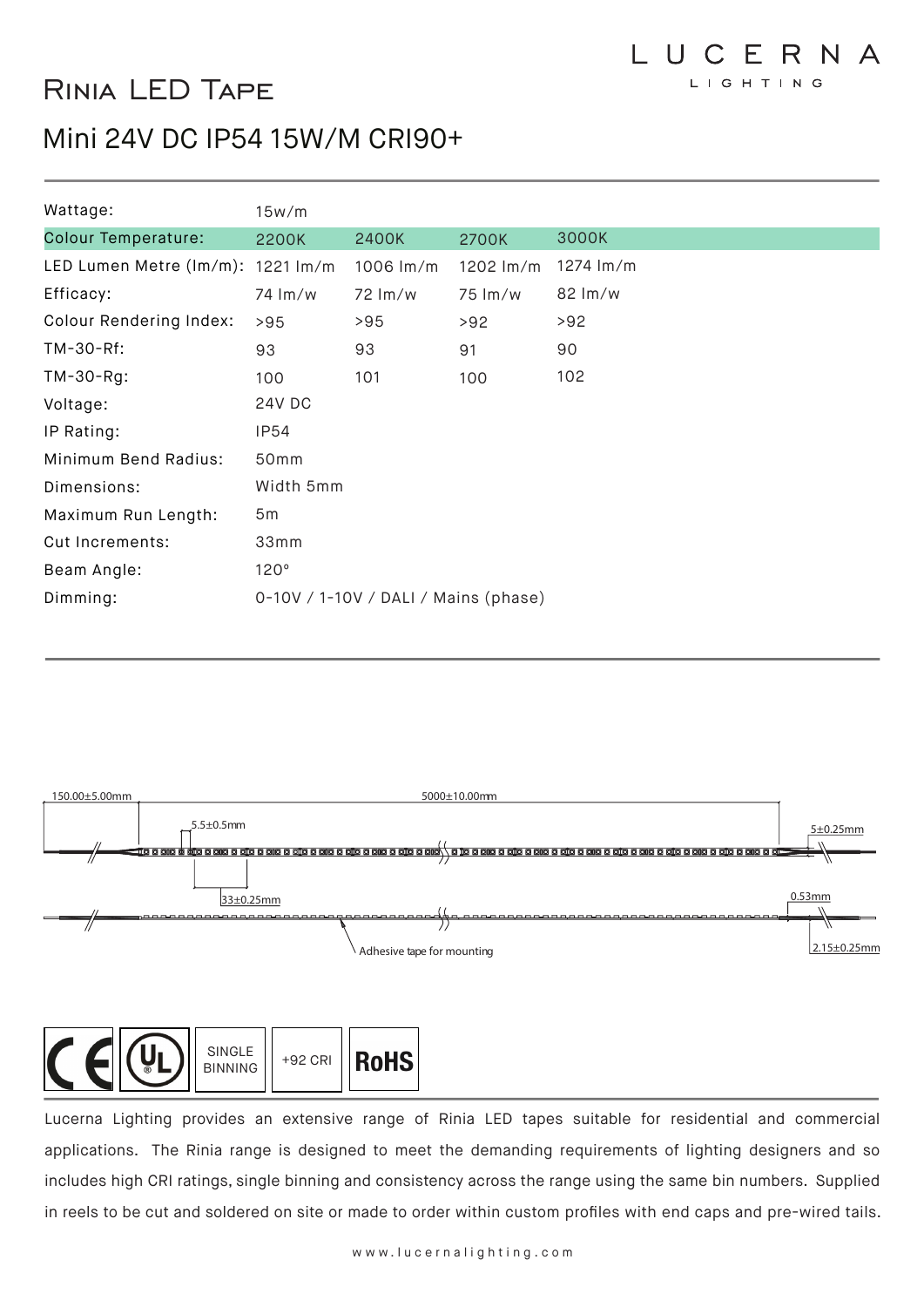# Rinia LED Tape

### Mini 24V DC IP54 15W/M CRI90+

| Wattage:                          | 15w/m                                |             |           |           |  |  |
|-----------------------------------|--------------------------------------|-------------|-----------|-----------|--|--|
| <b>Colour Temperature:</b>        | 2200K                                | 2400K       | 2700K     | 3000K     |  |  |
| LED Lumen Metre (lm/m): 1221 lm/m |                                      | 1006 $Im/m$ | 1202 lm/m | 1274 lm/m |  |  |
| Efficacy:                         | 74 lm/w                              | 72 Im/w     | 75 lm/w   | 82 lm/w   |  |  |
| Colour Rendering Index:           | >95                                  | >95         | >92       | >92       |  |  |
| TM-30-Rf:                         | 93                                   | 93          | 91        | 90        |  |  |
| $TM-30-Rg$ :                      | 100                                  | 101         | 100       | 102       |  |  |
| Voltage:                          | 24V DC                               |             |           |           |  |  |
| IP Rating:                        | <b>IP54</b>                          |             |           |           |  |  |
| Minimum Bend Radius:              | 50mm                                 |             |           |           |  |  |
| Dimensions:                       | Width 5mm                            |             |           |           |  |  |
| Maximum Run Length:               | 5m                                   |             |           |           |  |  |
| Cut Increments:                   | 33mm                                 |             |           |           |  |  |
| Beam Angle:                       | 120°                                 |             |           |           |  |  |
| Dimming:                          | 0-10V / 1-10V / DALI / Mains (phase) |             |           |           |  |  |





Lucerna Lighting provides an extensive range of Rinia LED tapes suitable for residential and commercial applications. The Rinia range is designed to meet the demanding requirements of lighting designers and so includes high CRI ratings, single binning and consistency across the range using the same bin numbers. Supplied in reels to be cut and soldered on site or made to order within custom profiles with end caps and pre-wired tails.